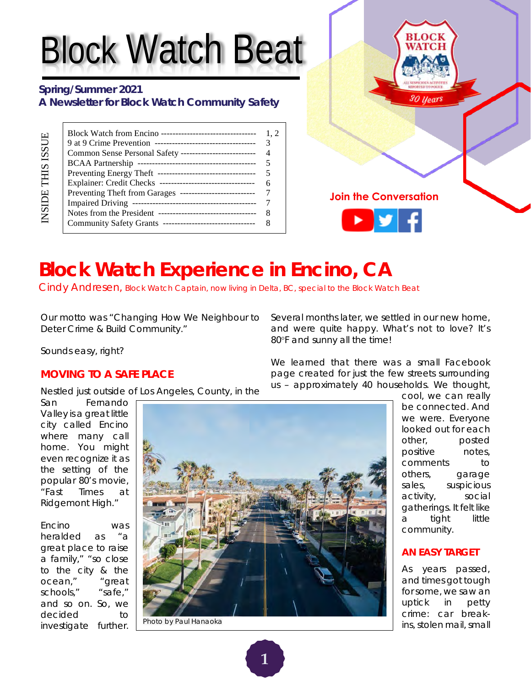# Block Watch Beat

### **Spring/Summer 2021 A Newsletter for Block Watch Community Safety**

| Block Watch from Encino ----------------------------------- |  |
|-------------------------------------------------------------|--|
|                                                             |  |
|                                                             |  |
|                                                             |  |
|                                                             |  |
|                                                             |  |
|                                                             |  |
|                                                             |  |
|                                                             |  |
| Community Safety Grants --------------------------------    |  |



# **Block Watch Experience in Encino, CA**

Cindy Andresen, Block Watch Captain, now living in Delta, BC, special to the Block Watch Beat

Our motto was *"Changing How We Neighbour to Deter Crime & Build Community."*

Several months later, we settled in our new home, and were quite happy. What's not to love? It's 80°F and sunny all the time!

Sounds easy, right?

### **MOVING TO A SAFE PLACE**

Nestled just outside of Los Angeles, County, in the

San Fernando Valley is a great little city called Encino where many call home. You might even recognize it as the setting of the popular 80's movie, "Fast Times at Ridgemont High."

Encino was heralded as "a great place to raise a family," "so close to the city & the ocean," "great schools," "safe," and so on. So, we decided to investigate further.



Photo by Paul Hanaoka

We learned that there was a small Facebook page created for just the few streets surrounding us – approximately 40 households. We thought,

> cool, we can really be connected. And we were. Everyone looked out for each other, posted positive notes, comments to others, garage sales, suspicious activity, social gatherings. It felt like a tight little community.

#### **AN EASY TARGET**

As years passed, and times got tough for some, we saw an uptick in petty crime: car breakins, stolen mail, small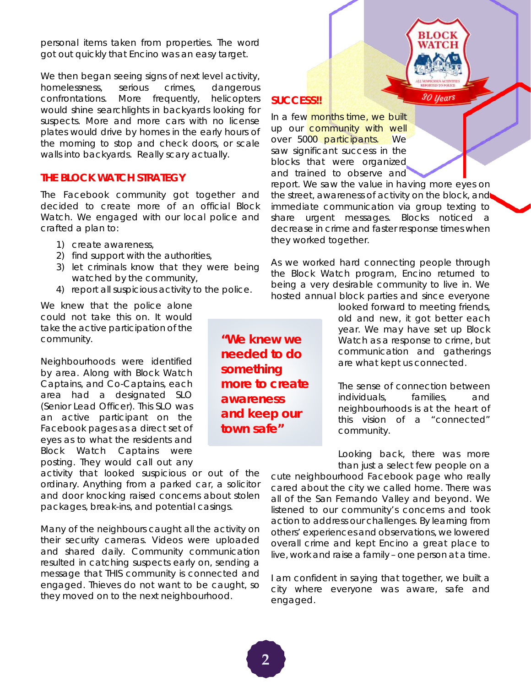personal items taken from properties. The word got out quickly that Encino was an easy target.

We then began seeing signs of next level activity, homelessness, serious crimes, dangerous confrontations. More frequently, helicopters would shine searchlights in backyards looking for suspects. More and more cars with no license plates would drive by homes in the early hours of the morning to stop and check doors, or scale walls into backyards. Really scary actually.

#### **THE BLOCK WATCH STRATEGY**

The Facebook community got together and decided to create more of an official Block Watch. We engaged with our local police and crafted a plan to:

- 1) create awareness,
- 2) find support with the authorities,
- 3) let criminals know that they were being watched by the community,
- 4) report all suspicious activity to the police.

We knew that the police alone could not take this on. It would take the active participation of the community.

Neighbourhoods were identified by area. Along with Block Watch Captains, and Co-Captains, each area had a designated SLO (Senior Lead Officer). This SLO was an active participant on the Facebook pages as a direct set of eyes as to what the residents and Block Watch Captains were posting. They would call out any

activity that looked suspicious or out of the ordinary. Anything from a parked car, a solicitor and door knocking raised concerns about stolen packages, break-ins, and potential casings.

Many of the neighbours caught all the activity on their security cameras. Videos were uploaded and shared daily. Community communication resulted in catching suspects early on, sending a message that THIS community is connected and engaged. Thieves do not want to be caught, so they moved on to the next neighbourhood.

*"We knew we needed to do something more to create awareness and keep our town safe"*

### **SUCCESS!!**

In a few months time, we built up our **community with well** over 5000 participants. We saw significant success in the blocks that were organized and trained to observe and

report. We saw the value in having more eyes on the street, awareness of activity on the block, and immediate communication via group texting to share urgent messages. Blocks noticed a decrease in crime and faster response times when they worked together.

As we worked hard connecting people through the Block Watch program, Encino returned to being a very desirable community to live in. We hosted annual block parties and since everyone

> looked forward to meeting friends, old and new, it got better each year. We may have set up Block Watch as a response to crime, but communication and gatherings are what kept us connected.

30 Years

The sense of connection between individuals, families, and neighbourhoods is at the heart of this vision of a "connected" community.

Looking back, there was more than just a select few people on a

cute neighbourhood Facebook page who really cared about the city we called home. There was all of the San Fernando Valley and beyond. We listened to our community's concerns and took action to address our challenges. By learning from others' experiences and observations, we lowered overall crime and kept Encino a great place to live, work and raise a family – one person at a time.

I am confident in saying that together, we built a city where everyone was aware, safe and engaged.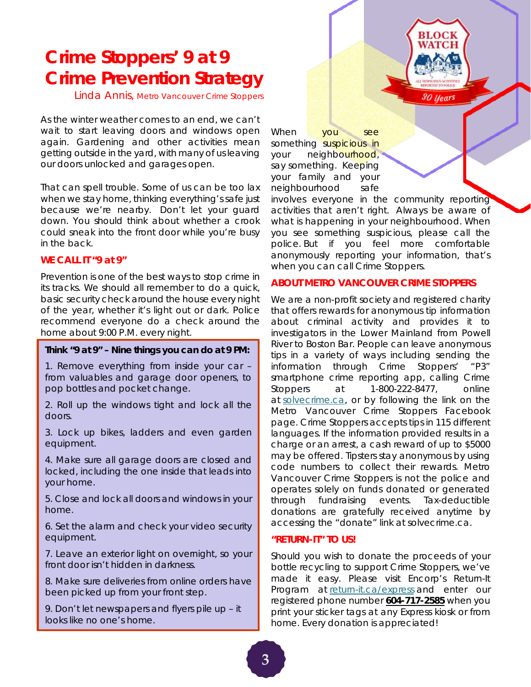### **Crime Stoppers' 9 at 9 Crime Prevention Strategy**

Linda Annis, Metro Vancouver Crime Stoppers

As the winter weather comes to an end, we can't wait to start leaving doors and windows open again. Gardening and other activities mean getting outside in the yard, with many of us leaving our doors unlocked and garages open.

That can spell trouble. Some of us can be too lax when we stay home, thinking everything's safe just because we're nearby. Don't let your guard down. You should think about whether a crook could sneak into the front door while you're busy in the back.

#### **WE CALL IT "9 at 9"**

Prevention is one of the best ways to stop crime in its tracks. We should all remember to do a quick, basic security check around the house every night of the year, whether it's light out or dark. Police recommend everyone do a check around the home about 9:00 P.M. every night.

#### **Think "9 at 9" – Nine things you can do at 9 PM:**

1. Remove everything from inside your car – from valuables and garage door openers, to pop bottles and pocket change.

2. Roll up the windows tight and lock all the doors.

3. Lock up bikes, ladders and even garden equipment.

4. Make sure all garage doors are closed and locked, including the one inside that leads into your home.

5. Close and lock all doors and windows in your home.

6. Set the alarm and check your video security equipment.

7. Leave an exterior light on overnight, so your front door isn't hidden in darkness.

8. Make sure deliveries from online orders have been picked up from your front step.

9. Don't let newspapers and flyers pile up – it looks like no one's home.

When you see something suspicious in your neighbourhood, say something. Keeping your family and your neighbourhood safe

involves everyone in the community reporting activities that aren't right. Always be aware of what is happening in your neighbourhood. When you see something suspicious, please call the police. But if you feel more comfortable anonymously reporting your information, that's when you can call Crime Stoppers.

30 Years

#### **ABOUT METRO VANCOUVER CRIME STOPPERS**

We are a non-profit society and registered charity that offers rewards for anonymous tip information about criminal activity and provides it to investigators in the Lower Mainland from Powell River to Boston Bar. People can leave anonymous tips in a variety of ways including sending the information through Crime Stoppers' "P3" smartphone crime reporting app, calling Crime Stoppers at 1-800-222-8477, online at [solvecrime.ca,](https://www.solvecrime.ca/) or by following the link on the Metro Vancouver Crime Stoppers Facebook page. Crime Stoppers accepts tips in 115 different languages. If the information provided results in a charge or an arrest, a cash reward of up to \$5000 may be offered. Tipsters stay anonymous by using code numbers to collect their rewards. Metro Vancouver Crime Stoppers is not the police and operates solely on funds donated or generated through fundraising events. Tax-deductible donations are gratefully received anytime by accessing the "donate" link at solvecrime.ca.

#### **"RETURN-IT" TO US!**

Should you wish to donate the proceeds of your bottle recycling to support Crime Stoppers, we've made it easy. Please visit Encorp's Return-It Program at [return-it.ca/express](https://www.return-it.ca/express/) and enter our registered phone number **604-717-2585** when you print your sticker tags at any Express kiosk or from home. Every donation is appreciated!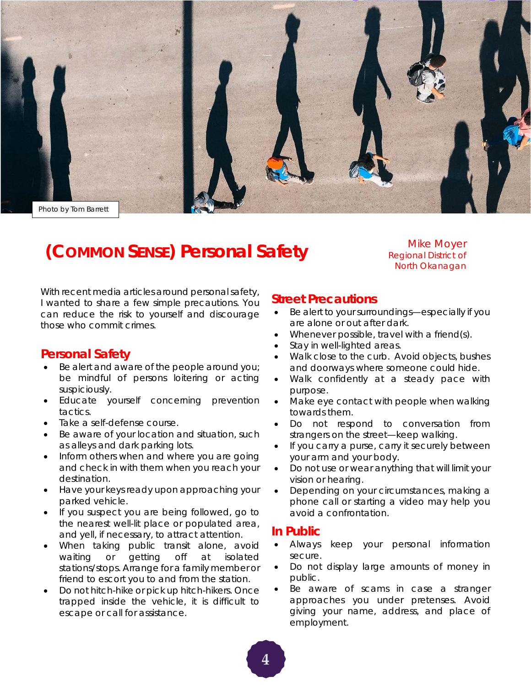

### **(COMMON SENSE) Personal Safety**

Mike Moyer Regional District of North Okanagan

With recent media articles around personal safety, I wanted to share a few simple precautions. You can reduce the risk to yourself and discourage those who commit crimes.

### **Personal Safety**

- Be alert and aware of the people around you; be mindful of persons loitering or acting suspiciously.
- Educate yourself concerning prevention tactics.
- Take a self-defense course.
- Be aware of your location and situation, such as alleys and dark parking lots.
- Inform others when and where you are going and check in with them when you reach your destination.
- Have your keys ready upon approaching your parked vehicle.
- If you suspect you are being followed, go to the nearest well-lit place or populated area, and yell, if necessary, to attract attention.
- When taking public transit alone, avoid waiting or getting off at isolated stations/stops. Arrange for a family member or friend to escort you to and from the station.
- Do not hitch-hike or pick up hitch-hikers. Once trapped inside the vehicle, it is difficult to escape or call for assistance.

### **Street Precautions**

- Be alert to your surroundings—especially if you are alone or out after dark.
- Whenever possible, travel with a friend(s).
- Stay in well-lighted areas.
- Walk close to the curb. Avoid objects, bushes and doorways where someone could hide.
- Walk confidently at a steady pace with purpose.
- Make eye contact with people when walking towards them.
- Do not respond to conversation from strangers on the street—keep walking.
- If you carry a purse, carry it securely between your arm and your body.
- Do not use or wear anything that will limit your vision or hearing.
- Depending on your circumstances, making a phone call or starting a video may help you avoid a confrontation.

### **In Public**

- Always keep your personal information secure.
- Do not display large amounts of money in public.
- Be aware of scams in case a stranger approaches you under pretenses. Avoid giving your name, address, and place of employment.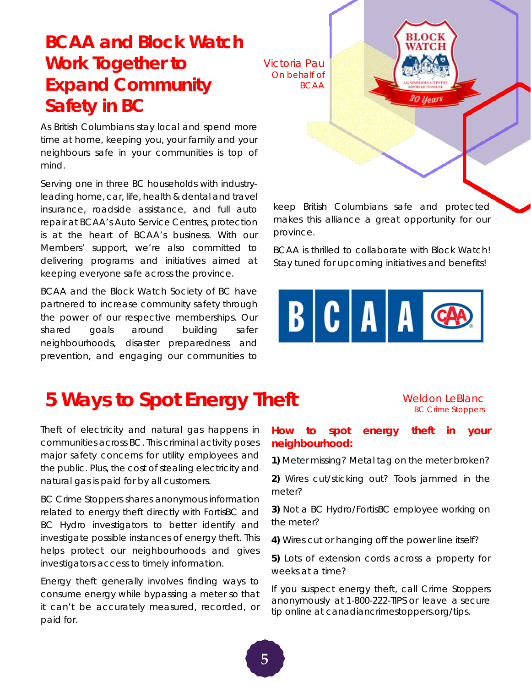### **BCAA and Block Watch Work Together to Expand Community Safety in BC**

As British Columbians stay local and spend more time at home, keeping you, your family and your neighbours safe in your communities is top of mind.

Serving one in three BC households with industryleading home, car, life, health & dental and travel insurance, roadside assistance, and full auto repair at BCAA's Auto Service Centres, protection is at the heart of BCAA's business. With our Members' support, we're also committed to delivering programs and initiatives aimed at keeping everyone safe across the province.

BCAA and the Block Watch Society of BC have partnered to increase community safety through the power of our respective memberships. Our shared goals around building safer neighbourhoods, disaster preparedness and prevention, and engaging our communities to

Victoria Pau On behalf of BCAA 30 Years

keep British Columbians safe and protected makes this alliance a great opportunity for our province.

BCAA is thrilled to collaborate with Block Watch! Stay tuned for upcoming initiatives and benefits!



# **5 Ways to Spot Energy Theft** Weldon LeBlanc

Theft of electricity and natural gas happens in communities across BC. This criminal activity poses major safety concerns for utility employees and the public. Plus, the cost of stealing electricity and natural gas is paid for by all customers.

BC Crime Stoppers shares anonymous information related to energy theft directly with FortisBC and BC Hydro investigators to better identify and investigate possible instances of energy theft. This helps protect our neighbourhoods and gives investigators access to timely information.

Energy theft generally involves finding ways to consume energy while bypassing a meter so that it can't be accurately measured, recorded, or paid for.

# BC Crime Stoppers

### **How to spot energy theft in your neighbourhood:**

**1)** Meter missing? Metal tag on the meter broken?

**2)** Wires cut/sticking out? Tools jammed in the meter?

**3)** Not a BC Hydro/FortisBC employee working on the meter?

**4)** Wires cut or hanging off the power line itself?

**5)** Lots of extension cords across a property for weeks at a time?

If you suspect energy theft, call Crime Stoppers anonymously at [1-800-222-TIPS](tel:1800222) or leave a [secure](http://www.bccrimestoppers.com/)  [tip online](http://www.bccrimestoppers.com/) at [canadiancrimestoppers.org/tips.](https://www.canadiancrimestoppers.org/tips)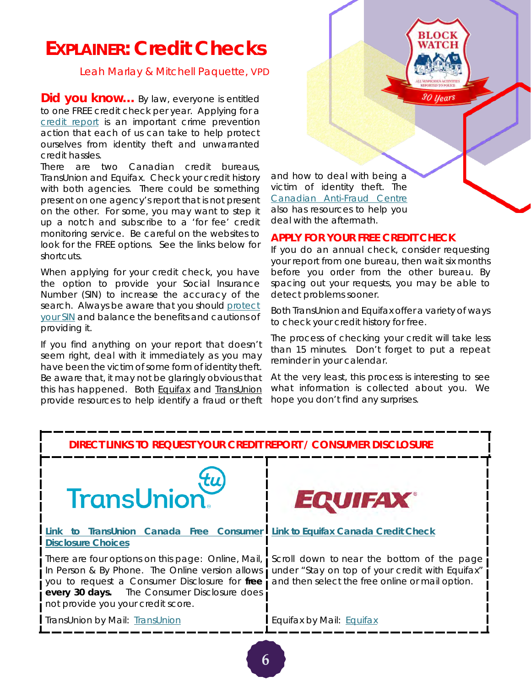### **EXPLAINER: Credit Checks**

Leah Marlay & Mitchell Paquette, VPD

**Did you know...** By law, everyone is entitled to one *FREE* credit check per year. Applying for a [credit report](https://www.canada.ca/en/financial-consumer-agency/services/credit-reports-score/order-credit-report.html#toc0) is an important crime prevention action that each of us can take to help protect ourselves from identity theft and unwarranted credit hassles.

There are two Canadian credit bureaus, TransUnion and Equifax. Check your credit history with both agencies. There could be something present on one agency's report that is not present on the other. For some, you may want to step it up a notch and subscribe to a 'for fee' credit monitoring service. Be careful on the websites to look for the FREE options. See the links below for shortcuts.

When applying for your credit check, you have the option to provide your Social Insurance Number (SIN) to increase the accuracy of the search. Always be aware that you shoul[d protect](https://www.canada.ca/en/employment-social-development/programs/sin/protect.html#a2)  [your SIN](https://www.canada.ca/en/employment-social-development/programs/sin/protect.html#a2) and balance the benefits and cautions of providing it.

If you find anything on your report that doesn't seem right, deal with it immediately as you may have been the victim of some form of identity theft. Be aware that, it may not be glaringly obvious that this has happened. Both **Equifax and [TransUnion](https://www.transunion.ca/2)** provide resources to help identify a fraud or theft and how to deal with being a victim of identity theft. The [Canadian Anti-Fraud Centre](https://www.antifraudcentre-centreantifraude.ca/index-eng.htm) also has resources to help you deal with the aftermath.

#### **APPLY FOR YOUR FREE CREDIT CHECK**

If you do an annual check, consider requesting your report from one bureau, then wait six months before you order from the other bureau. By spacing out your requests, you may be able to detect problems sooner.

30 Years

Both TransUnion and Equifax offer a variety of ways to check your credit history for free.

The process of checking your credit will take less than 15 minutes. Don't forget to put a repeat reminder in your calendar.

At the very least, this process is interesting to see what information is collected about you. We hope you don't find any surprises.

### **DIRECT LINKS TO REQUEST YOUR CREDIT REPORT / CONSUMER DISCLOSURE**





#### **[Link to TransUnion Canada Free Consumer](https://www.transunion.ca/product/consumer-disclosure)  [Link to Equifax Canada Credit Check](https://www.consumer.equifax.ca/personal/)  [Disclosure Choices](https://www.transunion.ca/product/consumer-disclosure)**

There are four options on this page: Online, Mail, In Person & By Phone. The Online version allows you to request a Consumer Disclosure for *free every 30 days.* The Consumer Disclosure does not provide you your credit score.

[TransUnion](https://www.transunion.ca/resources/transunion-ca/doc/personal/Consumer_Disclosure_Request_Form_en.pdf) by Mail: TransUnion

Scroll down to near the bottom of the page under "Stay on top of your credit with Equifax" and then select the free online or mail option.

[Equifax](http://www.equifax.com/ecm/canada/EFXCreditReportRequestForm.pdf) by Mail: Equifax

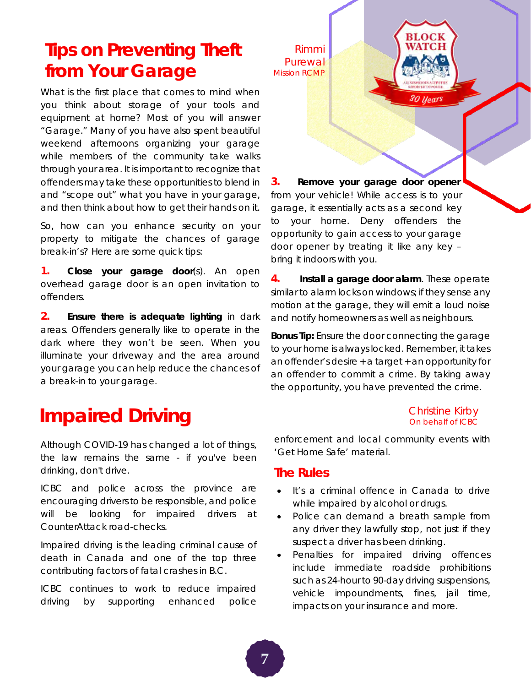### **Tips on Preventing Theft from Your Garage**

What is the first place that comes to mind when you think about storage of your tools and equipment at home? Most of you will answer "Garage." Many of you have also spent beautiful weekend afternoons organizing your garage while members of the community take walks through your area. It is important to recognize that offenders may take these opportunities to blend in and "scope out" what you have in your garage, and then think about how to get their hands on it.

So, how can you enhance security on your property to mitigate the chances of garage break-in's? Here are some quick tips:

**1. Close your garage door**(s). An open overhead garage door is an open invitation to offenders.

**2. Ensure there is adequate lighting** in dark areas. Offenders generally like to operate in the dark where they won't be seen. When you illuminate your driveway and the area around your garage you can help reduce the chances of a break-in to your garage.

## **Impaired Driving** Christine Kirby Christine Kirby

Although COVID-19 has changed a lot of things, the law remains the same - if you've been drinking, don't drive.

ICBC and police across the province are encouraging drivers to be responsible, and police will be looking for impaired drivers at CounterAttack road-checks.

Impaired driving is the leading criminal cause of death in Canada and one of the top three contributing factors of fatal crashes in B.C.

ICBC continues to work to reduce impaired driving by supporting enhanced police

Rimmi **Purewal** Mission RCMP

**3. Remove your garage door opener**  from your vehicle! While access is to your garage, it essentially acts as a second key to your home. Deny offenders the opportunity to gain access to your garage door opener by treating it like any key – bring it indoors with you.

**4. Install a garage door alarm**. These operate similar to alarm locks on windows; if they sense any motion at the garage, they will emit a loud noise and notify homeowners as well as neighbours.

**Bonus Tip:** Ensure the door connecting the garage to your home is always locked. Remember, it takes an offender's desire + a target + an opportunity for an offender to commit a crime. By taking away the opportunity, you have prevented the crime.

# On behalf of ICBC

30 Years

enforcement and local community events with 'Get Home Safe' material.

### **The Rules**

- [It's a criminal offence in Canada to drive](https://www.icbc.com/road-safety/crashes-happen/impaired-driving/Pages/Default.aspx)  while impaired by alcohol or drugs.
- Police can demand a breath sample from any driver they lawfully stop, not just if they suspect a driver has been drinking.
- Penalties for impaired driving offences include immediate roadside prohibitions such as 24-hour to 90-day driving suspensions, vehicle impoundments, fines, jail time, impacts on your insurance and more.